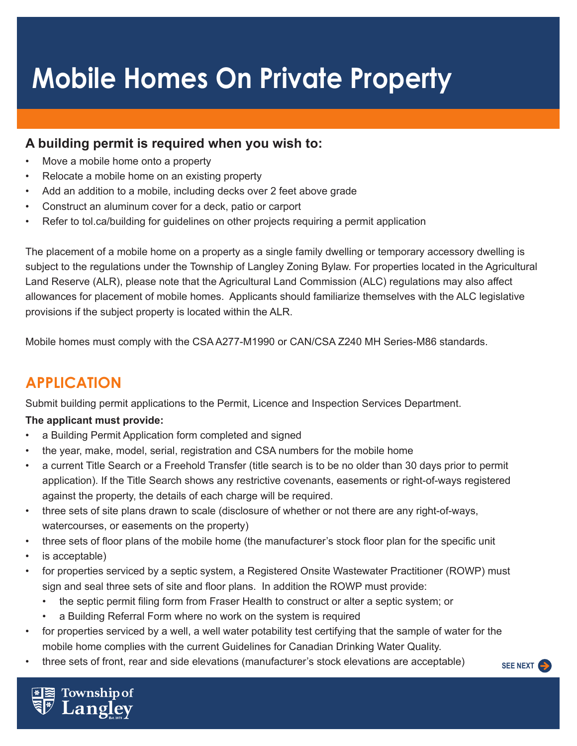# **Mobile Homes On Private Property**

#### **A building permit is required when you wish to:**

- Move a mobile home onto a property
- Relocate a mobile home on an existing property
- Add an addition to a mobile, including decks over 2 feet above grade
- Construct an aluminum cover for a deck, patio or carport
- Refer to tol.ca/building for guidelines on other projects requiring a permit application

The placement of a mobile home on a property as a single family dwelling or temporary accessory dwelling is subject to the regulations under the Township of Langley Zoning Bylaw. For properties located in the Agricultural Land Reserve (ALR), please note that the Agricultural Land Commission (ALC) regulations may also affect allowances for placement of mobile homes. Applicants should familiarize themselves with the ALC legislative provisions if the subject property is located within the ALR.

Mobile homes must comply with the CSA A277-M1990 or CAN/CSA Z240 MH Series-M86 standards.

## **APPLICATION**

Submit building permit applications to the Permit, Licence and Inspection Services Department.

#### **The applicant must provide:**

- a Building Permit Application form completed and signed
- the year, make, model, serial, registration and CSA numbers for the mobile home
- a current Title Search or a Freehold Transfer (title search is to be no older than 30 days prior to permit application). If the Title Search shows any restrictive covenants, easements or right-of-ways registered against the property, the details of each charge will be required.
- three sets of site plans drawn to scale (disclosure of whether or not there are any right-of-ways, watercourses, or easements on the property)
- three sets of floor plans of the mobile home (the manufacturer's stock floor plan for the specific unit
- is acceptable)
- for properties serviced by a septic system, a Registered Onsite Wastewater Practitioner (ROWP) must sign and seal three sets of site and floor plans. In addition the ROWP must provide:
	- the septic permit filing form from Fraser Health to construct or alter a septic system; or
	- a Building Referral Form where no work on the system is required
- for properties serviced by a well, a well water potability test certifying that the sample of water for the mobile home complies with the current Guidelines for Canadian Drinking Water Quality.

**SEE NEXT** 

• three sets of front, rear and side elevations (manufacturer's stock elevations are acceptable)

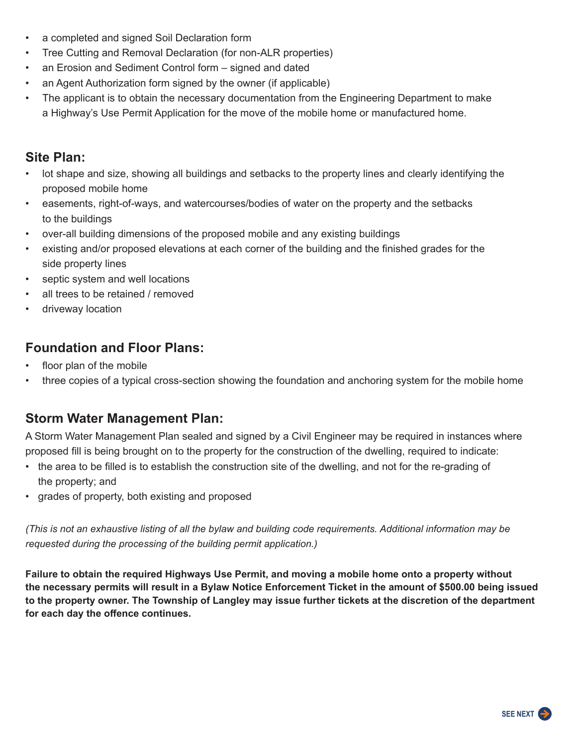- a completed and signed Soil Declaration form
- Tree Cutting and Removal Declaration (for non-ALR properties)
- an Erosion and Sediment Control form signed and dated
- an Agent Authorization form signed by the owner (if applicable)
- The applicant is to obtain the necessary documentation from the Engineering Department to make a Highway's Use Permit Application for the move of the mobile home or manufactured home.

#### **Site Plan:**

- lot shape and size, showing all buildings and setbacks to the property lines and clearly identifying the proposed mobile home
- easements, right-of-ways, and watercourses/bodies of water on the property and the setbacks to the buildings
- over-all building dimensions of the proposed mobile and any existing buildings
- existing and/or proposed elevations at each corner of the building and the finished grades for the side property lines
- septic system and well locations
- all trees to be retained / removed
- driveway location

#### **Foundation and Floor Plans:**

- floor plan of the mobile
- three copies of a typical cross-section showing the foundation and anchoring system for the mobile home

### **Storm Water Management Plan:**

A Storm Water Management Plan sealed and signed by a Civil Engineer may be required in instances where proposed fill is being brought on to the property for the construction of the dwelling, required to indicate:

- the area to be filled is to establish the construction site of the dwelling, and not for the re-grading of the property; and
- grades of property, both existing and proposed

*(This is not an exhaustive listing of all the bylaw and building code requirements. Additional information may be requested during the processing of the building permit application.)*

**Failure to obtain the required Highways Use Permit, and moving a mobile home onto a property without the necessary permits will result in a Bylaw Notice Enforcement Ticket in the amount of \$500.00 being issued to the property owner. The Township of Langley may issue further tickets at the discretion of the department for each day the offence continues.**